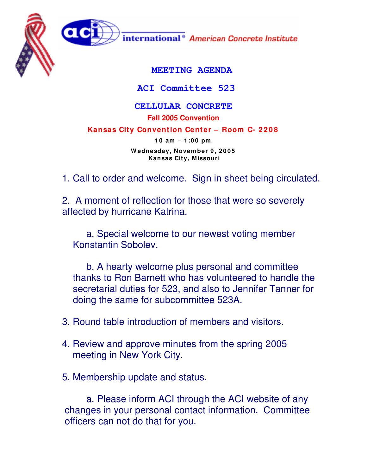

**ACI Committee 523**

## **CELLULAR CONCRETE**

**Fall 2005 Convention**

**Kansas City Convention Center – Room C- 2 2 0 8**

**1 0 am – 1 :0 0 pm W ednesday, Novem ber 9 , 2 0 0 5 Kansas City, Missouri**

1. Call to order and welcome. Sign in sheet being circulated.

2. A moment of reflection for those that were so severely affected by hurricane Katrina.

a. Special welcome to our newest voting member Konstantin Sobolev.

b. A hearty welcome plus personal and committee thanks to Ron Barnett who has volunteered to handle the secretarial duties for 523, and also to Jennifer Tanner for doing the same for subcommittee 523A.

- 3. Round table introduction of members and visitors.
- 4. Review and approve minutes from the spring 2005 meeting in New York City.
- 5. Membership update and status.

a. Please inform ACI through the ACI website of any changes in your personal contact information. Committee officers can not do that for you.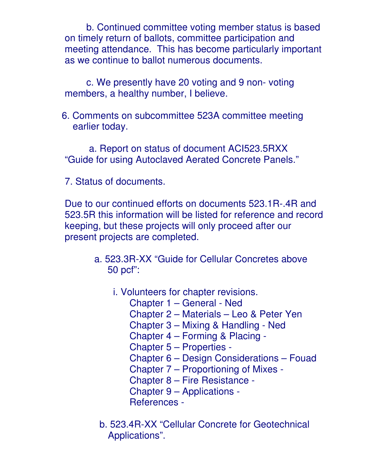b. Continued committee voting member status is based on timely return of ballots, committee participation and meeting attendance. This has become particularly important as we continue to ballot numerous documents.

c. We presently have 20 voting and 9 non- voting members, a healthy number, I believe.

6. Comments on subcommittee 523A committee meeting earlier today.

a. Report on status of document ACI523.5RXX "Guide for using Autoclaved Aerated Concrete Panels."

7. Status of documents.

Due to our continued efforts on documents 523.1R-.4R and 523.5R this information will be listed for reference and record keeping, but these projects will only proceed after our present projects are completed.

- a. 523.3R-XX "Guide for Cellular Concretes above 50 pcf":
	- i. Volunteers for chapter revisions.
		- Chapter 1 General Ned
		- Chapter 2 Materials Leo & Peter Yen
		- Chapter 3 Mixing & Handling Ned
		- Chapter 4 Forming & Placing -

Chapter 5 – Properties -

- Chapter 6 Design Considerations Fouad
- Chapter 7 Proportioning of Mixes -
- Chapter 8 Fire Resistance -
- Chapter 9 Applications -
- References -
- b. 523.4R-XX "Cellular Concrete for Geotechnical Applications".